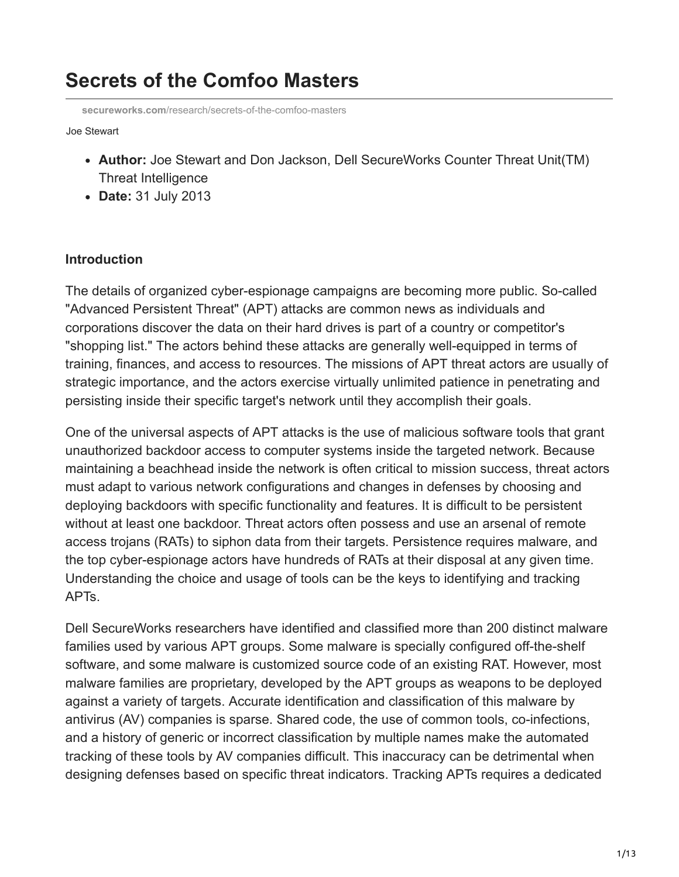# **Secrets of the Comfoo Masters**

**secureworks.com**[/research/secrets-of-the-comfoo-masters](https://www.secureworks.com/research/secrets-of-the-comfoo-masters)

Joe Stewart

- **Author:** Joe Stewart and Don Jackson, Dell SecureWorks Counter Threat Unit(TM) Threat Intelligence
- **Date:** 31 July 2013

#### **Introduction**

The details of organized cyber-espionage campaigns are becoming more public. So-called "Advanced Persistent Threat" (APT) attacks are common news as individuals and corporations discover the data on their hard drives is part of a country or competitor's "shopping list." The actors behind these attacks are generally well-equipped in terms of training, finances, and access to resources. The missions of APT threat actors are usually of strategic importance, and the actors exercise virtually unlimited patience in penetrating and persisting inside their specific target's network until they accomplish their goals.

One of the universal aspects of APT attacks is the use of malicious software tools that grant unauthorized backdoor access to computer systems inside the targeted network. Because maintaining a beachhead inside the network is often critical to mission success, threat actors must adapt to various network configurations and changes in defenses by choosing and deploying backdoors with specific functionality and features. It is difficult to be persistent without at least one backdoor. Threat actors often possess and use an arsenal of remote access trojans (RATs) to siphon data from their targets. Persistence requires malware, and the top cyber-espionage actors have hundreds of RATs at their disposal at any given time. Understanding the choice and usage of tools can be the keys to identifying and tracking APTs.

Dell SecureWorks researchers have identified and classified more than 200 distinct malware families used by various APT groups. Some malware is specially configured off-the-shelf software, and some malware is customized source code of an existing RAT. However, most malware families are proprietary, developed by the APT groups as weapons to be deployed against a variety of targets. Accurate identification and classification of this malware by antivirus (AV) companies is sparse. Shared code, the use of common tools, co-infections, and a history of generic or incorrect classification by multiple names make the automated tracking of these tools by AV companies difficult. This inaccuracy can be detrimental when designing defenses based on specific threat indicators. Tracking APTs requires a dedicated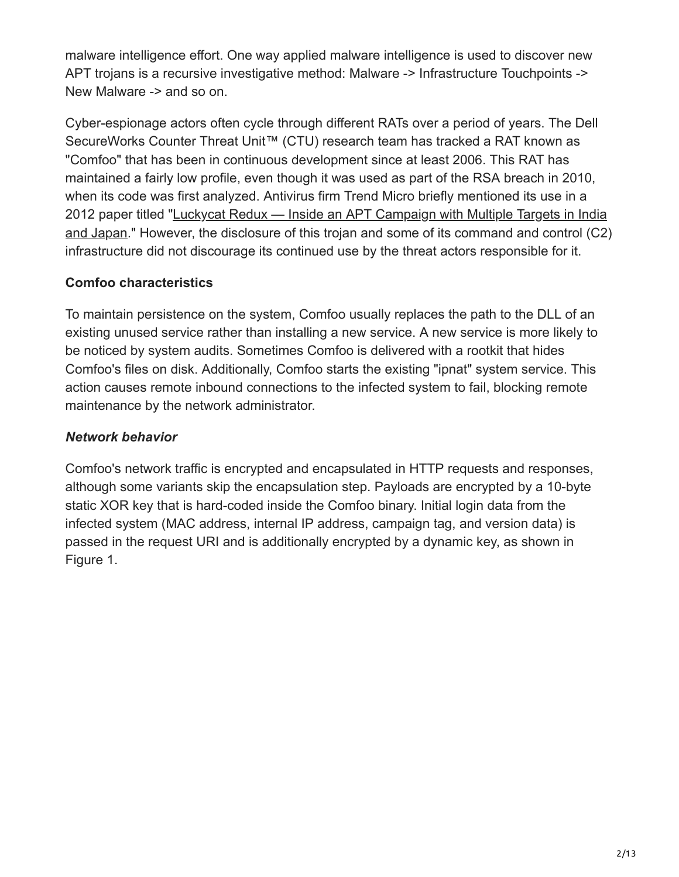malware intelligence effort. One way applied malware intelligence is used to discover new APT trojans is a recursive investigative method: Malware -> Infrastructure Touchpoints -> New Malware -> and so on.

Cyber-espionage actors often cycle through different RATs over a period of years. The Dell SecureWorks Counter Threat Unit™ (CTU) research team has tracked a RAT known as "Comfoo" that has been in continuous development since at least 2006. This RAT has maintained a fairly low profile, even though it was used as part of the RSA breach in 2010, when its code was first analyzed. Antivirus firm Trend Micro briefly mentioned its use in a 2012 paper titled "Luckycat Redux — Inside an APT Campaign with Multiple Targets in India [and Japan." However, the disclosure of this trojan and some of its command and control \(C2\)](http://www.trendmicro.com/cloud-content/us/pdfs/security-intelligence/white-papers/wp_luckycat_redux.pdf) infrastructure did not discourage its continued use by the threat actors responsible for it.

#### **Comfoo characteristics**

To maintain persistence on the system, Comfoo usually replaces the path to the DLL of an existing unused service rather than installing a new service. A new service is more likely to be noticed by system audits. Sometimes Comfoo is delivered with a rootkit that hides Comfoo's files on disk. Additionally, Comfoo starts the existing "ipnat" system service. This action causes remote inbound connections to the infected system to fail, blocking remote maintenance by the network administrator.

# *Network behavior*

Comfoo's network traffic is encrypted and encapsulated in HTTP requests and responses, although some variants skip the encapsulation step. Payloads are encrypted by a 10-byte static XOR key that is hard-coded inside the Comfoo binary. Initial login data from the infected system (MAC address, internal IP address, campaign tag, and version data) is passed in the request URI and is additionally encrypted by a dynamic key, as shown in Figure 1.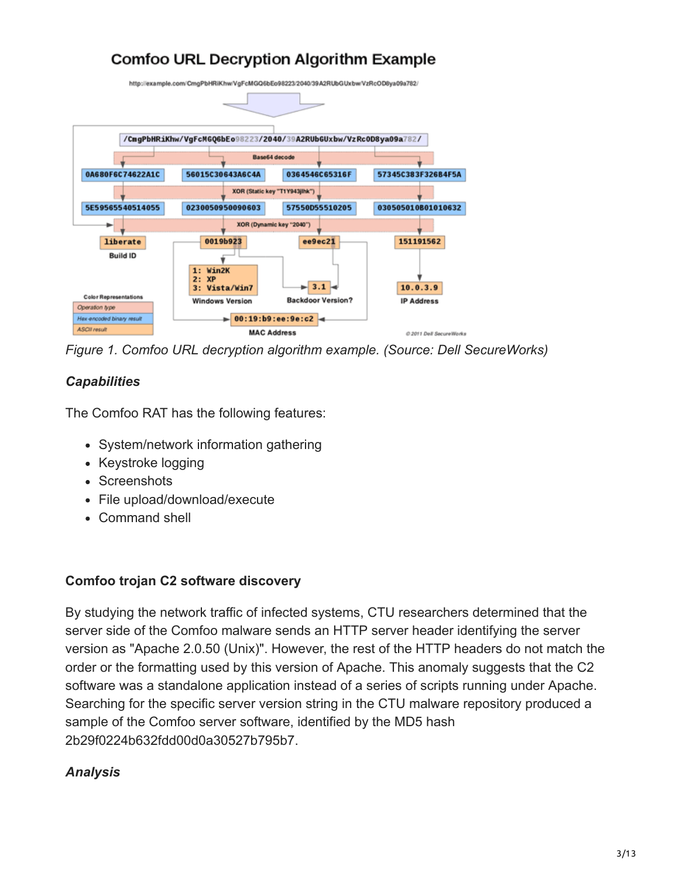# **Comfoo URL Decryption Algorithm Example**



*Figure 1. Comfoo URL decryption algorithm example. (Source: Dell SecureWorks)*

# *Capabilities*

The Comfoo RAT has the following features:

- System/network information gathering
- Keystroke logging
- Screenshots
- File upload/download/execute
- Command shell

#### **Comfoo trojan C2 software discovery**

By studying the network traffic of infected systems, CTU researchers determined that the server side of the Comfoo malware sends an HTTP server header identifying the server version as "Apache 2.0.50 (Unix)". However, the rest of the HTTP headers do not match the order or the formatting used by this version of Apache. This anomaly suggests that the C2 software was a standalone application instead of a series of scripts running under Apache. Searching for the specific server version string in the CTU malware repository produced a sample of the Comfoo server software, identified by the MD5 hash 2b29f0224b632fdd00d0a30527b795b7.

# *Analysis*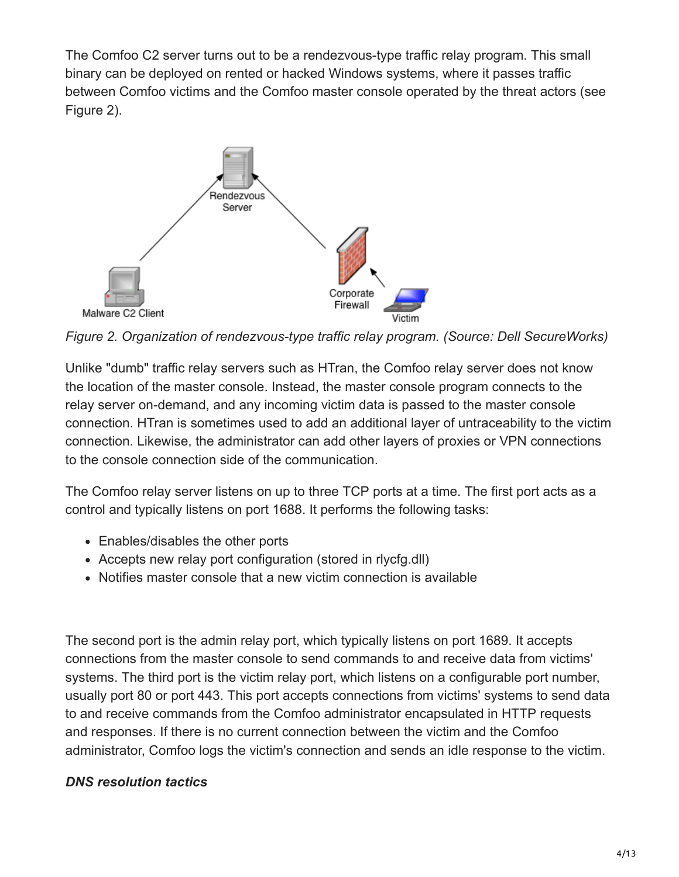The Comfoo C2 server turns out to be a rendezvous-type traffic relay program. This small binary can be deployed on rented or hacked Windows systems, where it passes traffic between Comfoo victims and the Comfoo master console operated by the threat actors (see Figure 2).



*Figure 2. Organization of rendezvous-type traffic relay program. (Source: Dell SecureWorks)*

Unlike "dumb" traffic relay servers such as HTran, the Comfoo relay server does not know the location of the master console. Instead, the master console program connects to the relay server on-demand, and any incoming victim data is passed to the master console connection. HTran is sometimes used to add an additional layer of untraceability to the victim connection. Likewise, the administrator can add other layers of proxies or VPN connections to the console connection side of the communication.

The Comfoo relay server listens on up to three TCP ports at a time. The first port acts as a control and typically listens on port 1688. It performs the following tasks:

- Enables/disables the other ports
- Accepts new relay port configuration (stored in rlycfg.dll)
- Notifies master console that a new victim connection is available

The second port is the admin relay port, which typically listens on port 1689. It accepts connections from the master console to send commands to and receive data from victims' systems. The third port is the victim relay port, which listens on a configurable port number, usually port 80 or port 443. This port accepts connections from victims' systems to send data to and receive commands from the Comfoo administrator encapsulated in HTTP requests and responses. If there is no current connection between the victim and the Comfoo administrator, Comfoo logs the victim's connection and sends an idle response to the victim.

# *DNS resolution tactics*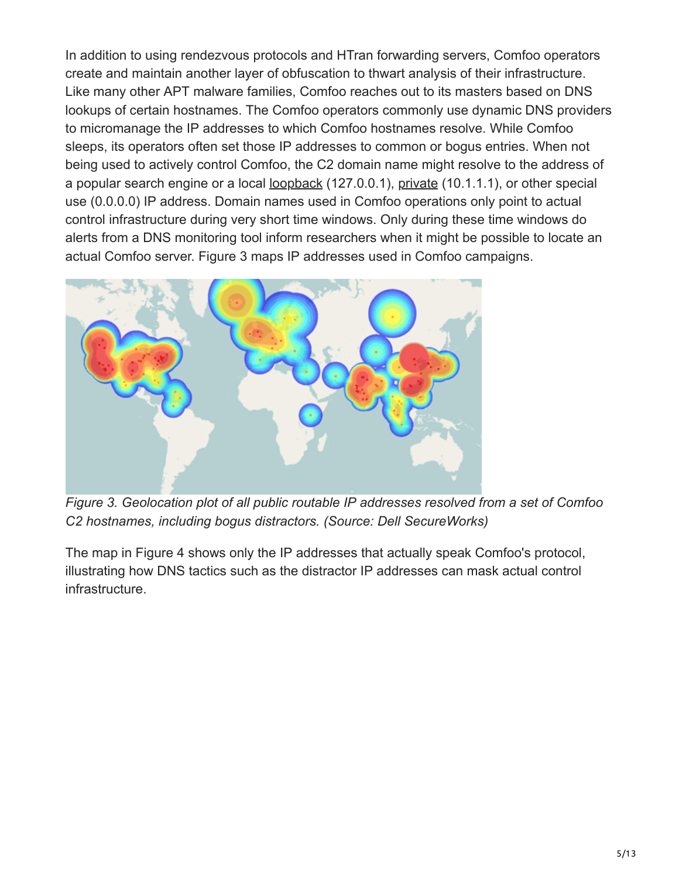In addition to using rendezvous protocols and HTran forwarding servers, Comfoo operators create and maintain another layer of obfuscation to thwart analysis of their infrastructure. Like many other APT malware families, Comfoo reaches out to its masters based on DNS lookups of certain hostnames. The Comfoo operators commonly use dynamic DNS providers to micromanage the IP addresses to which Comfoo hostnames resolve. While Comfoo sleeps, its operators often set those IP addresses to common or bogus entries. When not being used to actively control Comfoo, the C2 domain name might resolve to the address of a popular search engine or a local [loopback](https://tools.ietf.org/html/rfc5735) (127.0.0.1), [private](http://tools.ietf.org/html/rfc1918) (10.1.1.1), or other special use (0.0.0.0) IP address. Domain names used in Comfoo operations only point to actual control infrastructure during very short time windows. Only during these time windows do alerts from a DNS monitoring tool inform researchers when it might be possible to locate an actual Comfoo server. Figure 3 maps IP addresses used in Comfoo campaigns.



*Figure 3. Geolocation plot of all public routable IP addresses resolved from a set of Comfoo C2 hostnames, including bogus distractors. (Source: Dell SecureWorks)*

The map in Figure 4 shows only the IP addresses that actually speak Comfoo's protocol, illustrating how DNS tactics such as the distractor IP addresses can mask actual control infrastructure.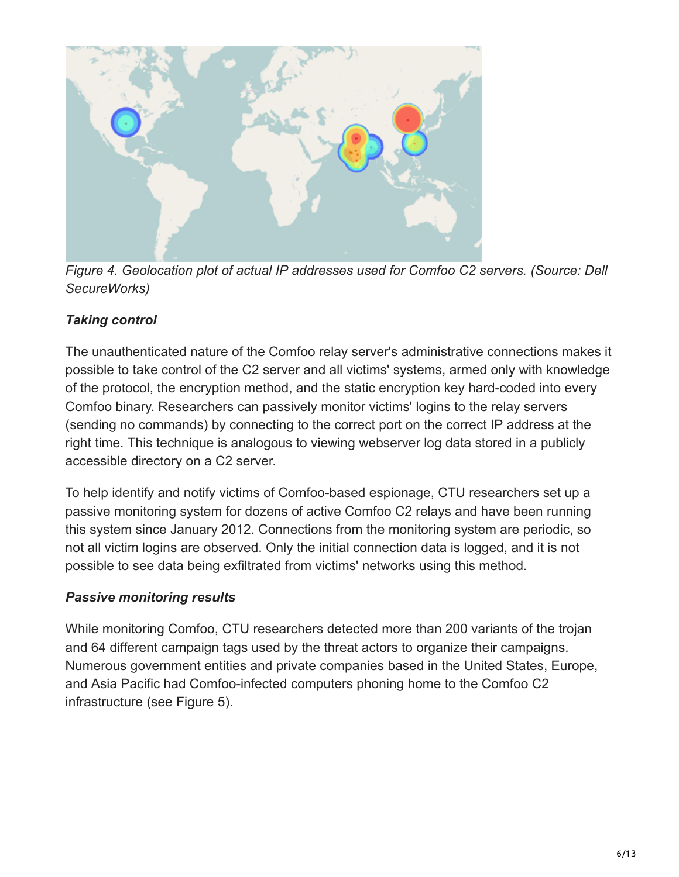

*Figure 4. Geolocation plot of actual IP addresses used for Comfoo C2 servers. (Source: Dell SecureWorks)*

# *Taking control*

The unauthenticated nature of the Comfoo relay server's administrative connections makes it possible to take control of the C2 server and all victims' systems, armed only with knowledge of the protocol, the encryption method, and the static encryption key hard-coded into every Comfoo binary. Researchers can passively monitor victims' logins to the relay servers (sending no commands) by connecting to the correct port on the correct IP address at the right time. This technique is analogous to viewing webserver log data stored in a publicly accessible directory on a C2 server.

To help identify and notify victims of Comfoo-based espionage, CTU researchers set up a passive monitoring system for dozens of active Comfoo C2 relays and have been running this system since January 2012. Connections from the monitoring system are periodic, so not all victim logins are observed. Only the initial connection data is logged, and it is not possible to see data being exfiltrated from victims' networks using this method.

#### *Passive monitoring results*

While monitoring Comfoo, CTU researchers detected more than 200 variants of the trojan and 64 different campaign tags used by the threat actors to organize their campaigns. Numerous government entities and private companies based in the United States, Europe, and Asia Pacific had Comfoo-infected computers phoning home to the Comfoo C2 infrastructure (see Figure 5).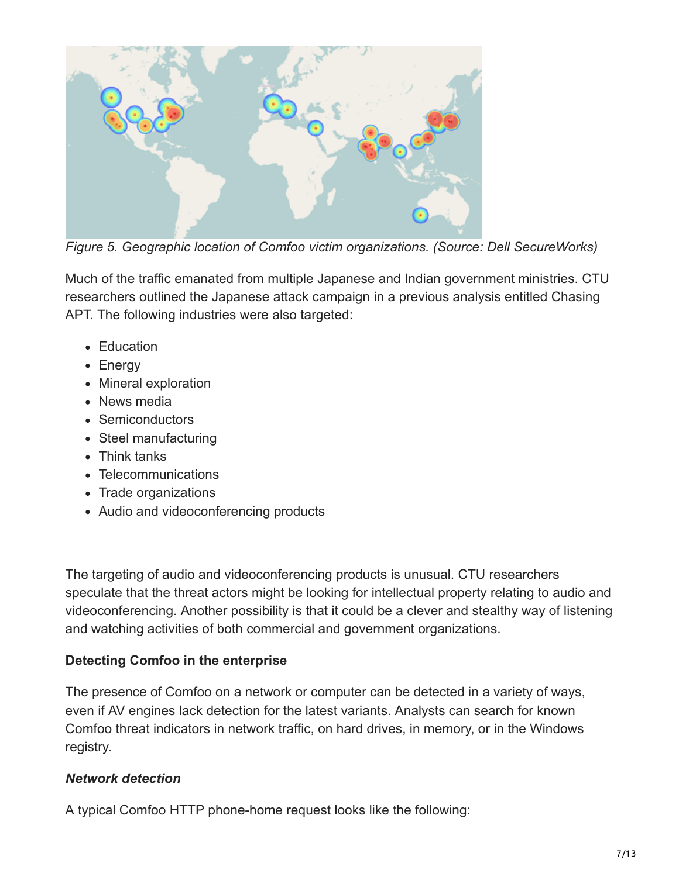

*Figure 5. Geographic location of Comfoo victim organizations. (Source: Dell SecureWorks)*

Much of the traffic emanated from multiple Japanese and Indian government ministries. CTU researchers outlined the Japanese attack campaign in a previous analysis entitled Chasing APT. The following industries were also targeted:

- Education
- Energy
- Mineral exploration
- News media
- Semiconductors
- Steel manufacturing
- Think tanks
- Telecommunications
- Trade organizations
- Audio and videoconferencing products

The targeting of audio and videoconferencing products is unusual. CTU researchers speculate that the threat actors might be looking for intellectual property relating to audio and videoconferencing. Another possibility is that it could be a clever and stealthy way of listening and watching activities of both commercial and government organizations.

#### **Detecting Comfoo in the enterprise**

The presence of Comfoo on a network or computer can be detected in a variety of ways, even if AV engines lack detection for the latest variants. Analysts can search for known Comfoo threat indicators in network traffic, on hard drives, in memory, or in the Windows registry.

#### *Network detection*

A typical Comfoo HTTP phone-home request looks like the following: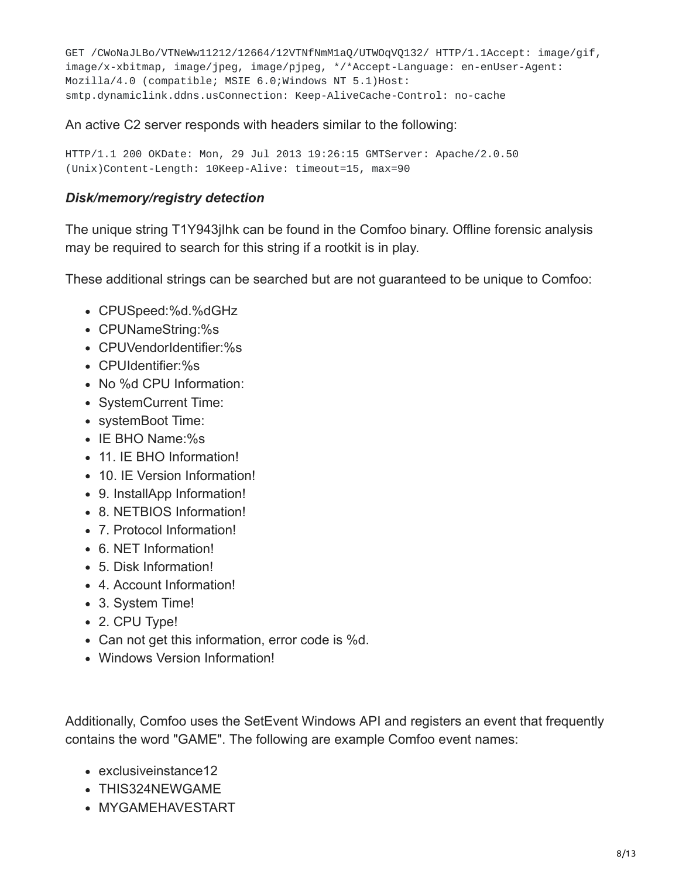GET /CWoNaJLBo/VTNeWw11212/12664/12VTNfNmM1aQ/UTWOqVQ132/ HTTP/1.1Accept: image/gif, image/x-xbitmap, image/jpeg, image/pjpeg, \*/\*Accept-Language: en-enUser-Agent: Mozilla/4.0 (compatible; MSIE 6.0;Windows NT 5.1)Host: smtp.dynamiclink.ddns.usConnection: Keep-AliveCache-Control: no-cache

An active C2 server responds with headers similar to the following:

HTTP/1.1 200 OKDate: Mon, 29 Jul 2013 19:26:15 GMTServer: Apache/2.0.50 (Unix)Content-Length: 10Keep-Alive: timeout=15, max=90

#### *Disk/memory/registry detection*

The unique string T1Y943jIhk can be found in the Comfoo binary. Offline forensic analysis may be required to search for this string if a rootkit is in play.

These additional strings can be searched but are not guaranteed to be unique to Comfoo:

- CPUSpeed:%d.%dGHz
- CPUNameString:%s
- CPUVendorIdentifier:%s
- CPUIdentifier:%s
- No %d CPU Information:
- SystemCurrent Time:
- systemBoot Time:
- IE BHO Name:%s
- 11. IE BHO Information!
- 10. IE Version Information!
- 9. InstallApp Information!
- 8. NETBIOS Information!
- 7. Protocol Information!
- 6. NET Information!
- 5. Disk Information!
- 4. Account Information!
- 3. System Time!
- 2. CPU Type!
- Can not get this information, error code is %d.
- Windows Version Information!

Additionally, Comfoo uses the SetEvent Windows API and registers an event that frequently contains the word "GAME". The following are example Comfoo event names:

- exclusive instance 12
- THIS324NEWGAME
- MYGAMEHAVESTART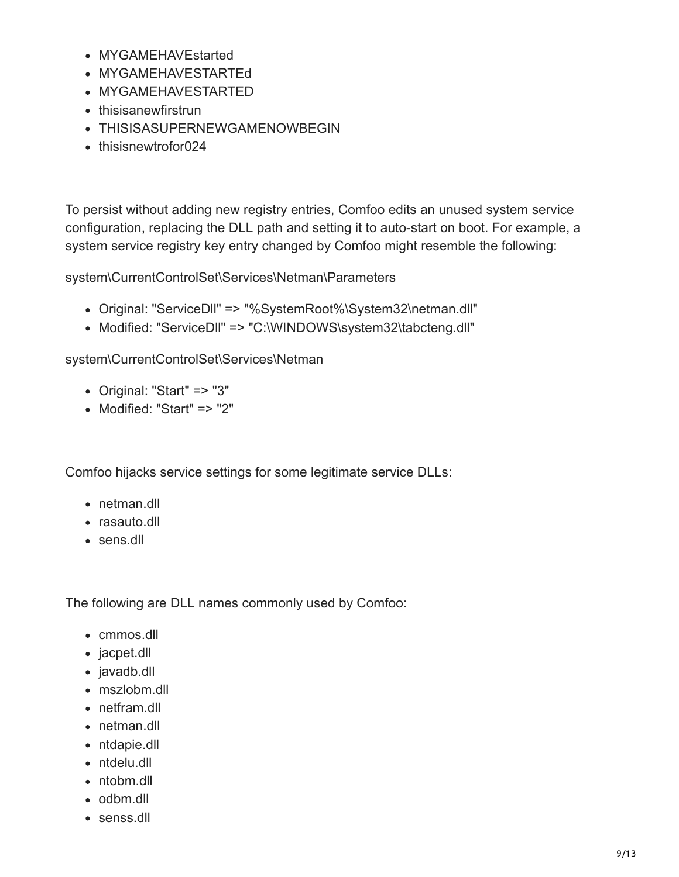- MYGAMEHAVEstarted
- MYGAMEHAVESTARTEd
- MYGAMEHAVESTARTED
- thisisanewfirstrun
- THISISASUPERNEWGAMENOWBEGIN
- thisisnewtrofor024

To persist without adding new registry entries, Comfoo edits an unused system service configuration, replacing the DLL path and setting it to auto-start on boot. For example, a system service registry key entry changed by Comfoo might resemble the following:

system\CurrentControlSet\Services\Netman\Parameters

- Original: "ServiceDll" => "%SystemRoot%\System32\netman.dll"
- Modified: "ServiceDII" => "C:\WINDOWS\system32\tabcteng.dll"

system\CurrentControlSet\Services\Netman

- Original: "Start" => "3"
- Modified: "Start" => "2"

Comfoo hijacks service settings for some legitimate service DLLs:

- netman.dll
- rasauto.dll
- sens.dll

The following are DLL names commonly used by Comfoo:

- cmmos.dll
- jacpet.dll
- javadb.dll
- mszlobm.dll
- netfram.dll
- netman.dll
- ntdapie.dll
- ntdelu.dll
- ntobm.dll
- odbm.dll
- senss.dll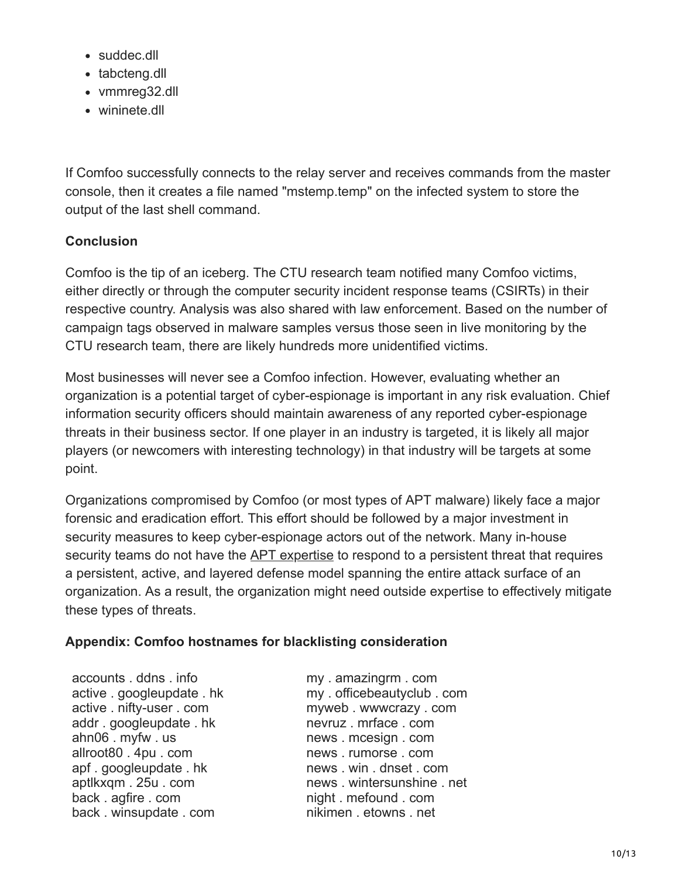- suddec.dll
- tabcteng.dll
- vmmreg32.dll
- wininete.dll

If Comfoo successfully connects to the relay server and receives commands from the master console, then it creates a file named "mstemp.temp" on the infected system to store the output of the last shell command.

# **Conclusion**

Comfoo is the tip of an iceberg. The CTU research team notified many Comfoo victims, either directly or through the computer security incident response teams (CSIRTs) in their respective country. Analysis was also shared with law enforcement. Based on the number of campaign tags observed in malware samples versus those seen in live monitoring by the CTU research team, there are likely hundreds more unidentified victims.

Most businesses will never see a Comfoo infection. However, evaluating whether an organization is a potential target of cyber-espionage is important in any risk evaluation. Chief information security officers should maintain awareness of any reported cyber-espionage threats in their business sector. If one player in an industry is targeted, it is likely all major players (or newcomers with interesting technology) in that industry will be targets at some point.

Organizations compromised by Comfoo (or most types of APT malware) likely face a major forensic and eradication effort. This effort should be followed by a major investment in security measures to keep cyber-espionage actors out of the network. Many in-house security teams do not have the [APT expertise](http://go.secureworks.com/advancedthreats) to respond to a persistent threat that requires a persistent, active, and layered defense model spanning the entire attack surface of an organization. As a result, the organization might need outside expertise to effectively mitigate these types of threats.

# **Appendix: Comfoo hostnames for blacklisting consideration**

accounts . ddns . info active . googleupdate . hk active . nifty-user . com addr . googleupdate . hk ahn06 . myfw . us allroot80 . 4pu . com apf . googleupdate . hk aptlkxqm . 25u . com back . agfire . com back . winsupdate . com

my . amazingrm . com my . officebeautyclub . com myweb . wwwcrazy . com nevruz . mrface . com news . mcesign . com news . rumorse . com news . win . dnset . com news . wintersunshine . net night . mefound . com nikimen . etowns . net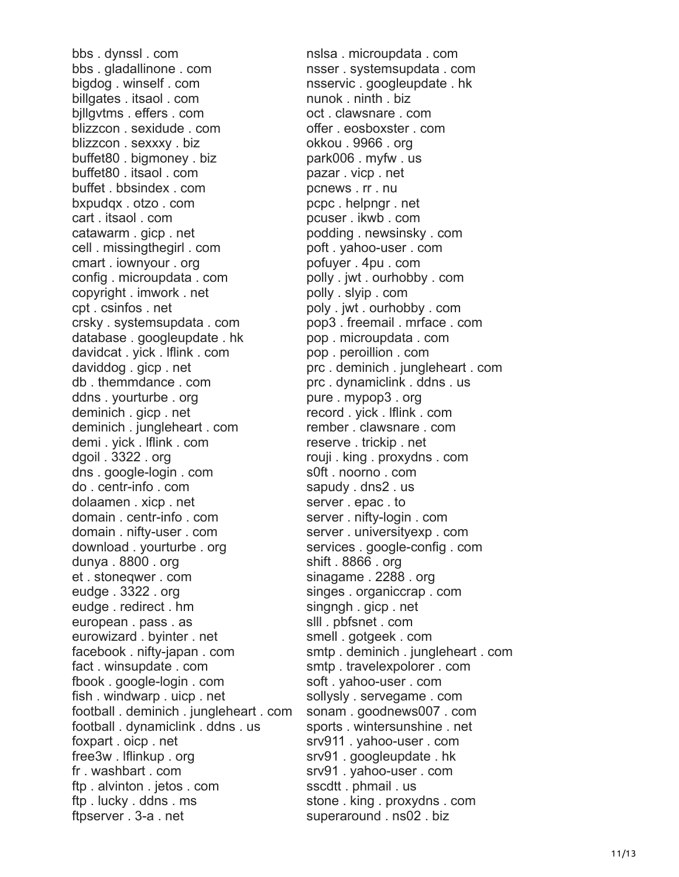bbs . dynssl . com bbs . gladallinone . com bigdog . winself . com billgates . itsaol . com bjllgvtms . effers . com blizzcon . sexidude . com blizzcon . sexxxy . biz buffet80 . bigmoney . biz buffet80 . itsaol . com buffet . bbsindex . com bxpudqx . otzo . com cart . itsaol . com catawarm . gicp . net cell . missingthegirl . com cmart . iownyour . org config . microupdata . com copyright . imwork . net cpt . csinfos . net crsky . systemsupdata . com database . googleupdate . hk davidcat . yick . lflink . com daviddog . gicp . net db . themmdance . com ddns . yourturbe . org deminich . gicp . net deminich . jungleheart . com demi . yick . lflink . com dgoil . 3322 . org dns . google-login . com do . centr-info . com dolaamen . xicp . net domain . centr-info . com domain . nifty-user . com download . yourturbe . org dunya . 8800 . org et . stoneqwer . com eudge . 3322 . org eudge . redirect . hm european . pass . as eurowizard . byinter . net facebook . nifty-japan . com fact . winsupdate . com fbook . google-login . com fish . windwarp . uicp . net football . deminich . jungleheart . com football . dynamiclink . ddns . us foxpart . oicp . net free3w . lflinkup . org fr . washbart . com ftp . alvinton . jetos . com ftp . lucky . ddns . ms ftpserver . 3-a . net

nslsa . microupdata . com nsser . systemsupdata . com nsservic . googleupdate . hk nunok . ninth . biz oct . clawsnare . com offer . eosboxster . com okkou . 9966 . org park006 . myfw . us pazar . vicp . net pcnews . rr . nu pcpc . helpngr . net pcuser . ikwb . com podding . newsinsky . com poft . yahoo-user . com pofuyer . 4pu . com polly . jwt . ourhobby . com polly . slyip . com poly . jwt . ourhobby . com pop3 . freemail . mrface . com pop . microupdata . com pop . peroillion . com prc . deminich . jungleheart . com prc . dynamiclink . ddns . us pure . mypop3 . org record . yick . lflink . com rember . clawsnare . com reserve . trickip . net rouji . king . proxydns . com s0ft . noorno . com sapudy . dns2 . us server . epac . to server . nifty-login . com server . universityexp . com services . google-config . com shift . 8866 . org sinagame . 2288 . org singes . organiccrap . com singngh . gicp . net slll . pbfsnet . com smell . gotgeek . com smtp . deminich . jungleheart . com smtp . travelexpolorer . com soft . yahoo-user . com sollysly . servegame . com sonam . goodnews007 . com sports . wintersunshine . net srv911 . yahoo-user . com srv91 . googleupdate . hk srv91 . yahoo-user . com sscdtt . phmail . us stone . king . proxydns . com superaround . ns02 . biz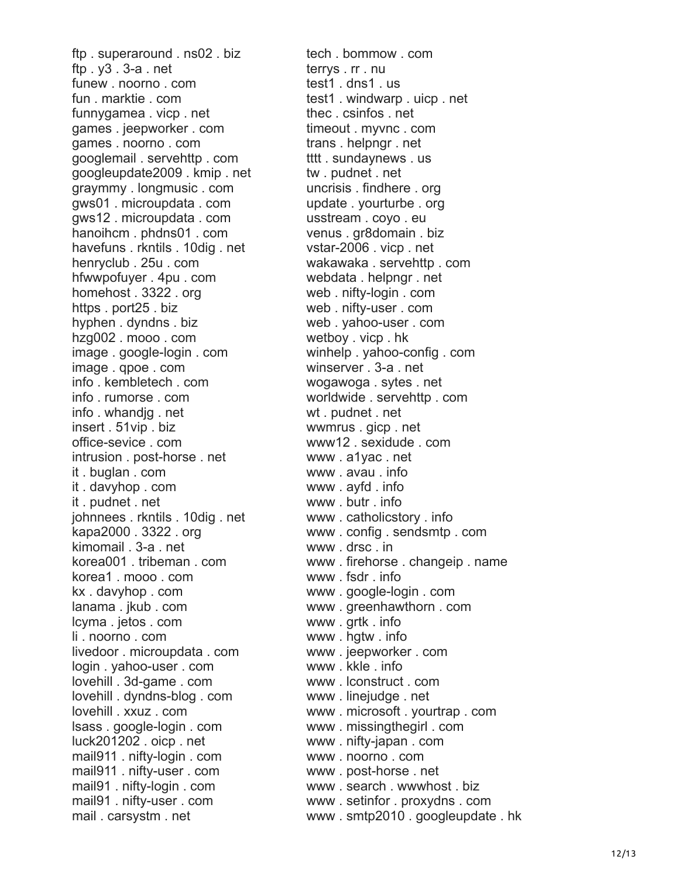ftp . superaround . ns02 . biz ftp . y3 . 3-a . net funew . noorno . com fun . marktie . com funnygamea . vicp . net games . jeepworker . com games . noorno . com googlemail . servehttp . com googleupdate2009 . kmip . net graymmy . longmusic . com gws01 . microupdata . com gws12 . microupdata . com hanoihcm . phdns01 . com havefuns . rkntils . 10dig . net henryclub . 25u . com hfwwpofuyer . 4pu . com homehost . 3322 . org https . port25 . biz hyphen . dyndns . biz hzg002 . mooo . com image . google-login . com image . qpoe . com info . kembletech . com info . rumorse . com info . whandjg . net insert . 51vip . biz office-sevice . com intrusion . post-horse . net it . buglan . com it . davyhop . com it . pudnet . net johnnees . rkntils . 10dig . net kapa2000 . 3322 . org kimomail . 3-a . net korea001 . tribeman . com korea1 . mooo . com kx . davyhop . com lanama . jkub . com lcyma . jetos . com li . noorno . com livedoor . microupdata . com login . yahoo-user . com lovehill . 3d-game . com lovehill . dyndns-blog . com lovehill . xxuz . com lsass . google-login . com luck201202 . oicp . net mail911 . nifty-login . com mail911 . nifty-user . com mail91 . nifty-login . com mail91 . nifty-user . com mail . carsystm . net

tech . bommow . com terrys . rr . nu test1 . dns1 . us test1 . windwarp . uicp . net thec . csinfos . net timeout . myvnc . com trans . helpngr . net tttt . sundaynews . us tw . pudnet . net uncrisis . findhere . org update . yourturbe . org usstream . coyo . eu venus . gr8domain . biz vstar-2006 . vicp . net wakawaka . servehttp . com webdata . helpngr . net web . nifty-login . com web . nifty-user . com web . yahoo-user . com wetboy . vicp . hk winhelp . yahoo-config . com winserver . 3-a . net wogawoga . sytes . net worldwide . servehttp . com wt . pudnet . net wwmrus . gicp . net www12 . sexidude . com www . a1yac . net www . avau . info www . ayfd . info www . butr . info www . catholicstory . info www . config . sendsmtp . com www . drsc . in www . firehorse . changeip . name www . fsdr . info www . google-login . com www . greenhawthorn . com www . grtk . info www . hgtw . info www . jeepworker . com www . kkle . info www . lconstruct . com www . linejudge . net www . microsoft . yourtrap . com www . missingthegirl . com www . nifty-japan . com www . noorno . com www . post-horse . net www . search . wwwhost . biz www . setinfor . proxydns . com www . smtp2010 . googleupdate . hk